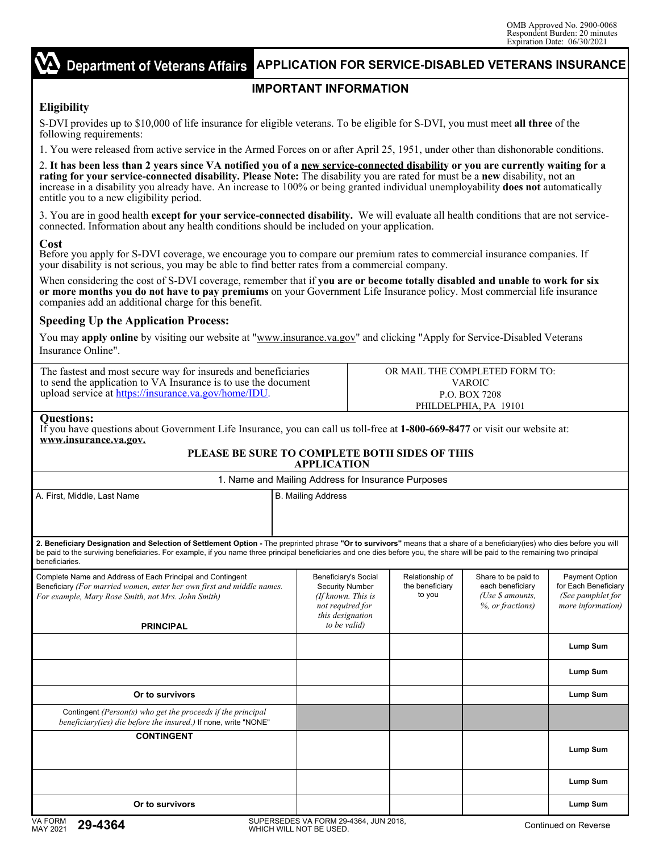#### **Department of Veterans Affairs APPLICATION FOR SERVICE-DISABLED VETERANS INSURANCE**

# **IMPORTANT INFORMATION**

# **Eligibility**

S-DVI provides up to \$10,000 of life insurance for eligible veterans. To be eligible for S-DVI, you must meet **all three** of the following requirements:

1. You were released from active service in the Armed Forces on or after April 25, 1951, under other than dishonorable conditions.

2. **It has been less than 2 years since VA notified you of a new service-connected disability or you are currently waiting for a rating for your service-connected disability. Please Note:** The disability you are rated for must be a **new** disability, not an increase in a disability you already have. An increase to 100% or being granted individual unemployability **does not** automatically entitle you to a new eligibility period.

3. You are in good health **except for your service-connected disability.** We will evaluate all health conditions that are not serviceconnected. Information about any health conditions should be included on your application.

### **Cost**

Before you apply for S-DVI coverage, we encourage you to compare our premium rates to commercial insurance companies. If your disability is not serious, you may be able to find better rates from a commercial company.

When considering the cost of S-DVI coverage, remember that if **you are or become totally disabled and unable to work for six or more months you do not have to pay premiums** on your Government Life Insurance policy. Most commercial life insurance companies add an additional charge for this benefit.

### **Speeding Up the Application Process:**

You may **apply online** by visiting our website at "www.insurance.va.gov" and clicking "Apply for Service-Disabled Veterans Insurance Online".

| The fastest and most secure way for insureds and beneficiaries | OR MAIL THE COMPLETED FORM TO: |
|----------------------------------------------------------------|--------------------------------|
| to send the application to VA Insurance is to use the document | VAROIC                         |
| upload service at https://insurance.va.gov/home/IDU.           | <b>P.O. BOX 7208</b>           |
|                                                                | PHILDELPHIA, PA 19101          |

#### **Questions:**

If you have questions about Government Life Insurance, you can call us toll-free at **1-800-669-8477** or visit our website at: **www.insurance.va.gov.** 

#### **PLEASE BE SURE TO COMPLETE BOTH SIDES OF THIS APPLICATION** 1. Name and Mailing Address for Insurance Purposes

|                                                                                                                                                                                                                                                                                                                                                                              | i. Name and mainly Address for msurance Furposes                                                                             |                                              |                                                                                           |                                                                                         |
|------------------------------------------------------------------------------------------------------------------------------------------------------------------------------------------------------------------------------------------------------------------------------------------------------------------------------------------------------------------------------|------------------------------------------------------------------------------------------------------------------------------|----------------------------------------------|-------------------------------------------------------------------------------------------|-----------------------------------------------------------------------------------------|
| A. First, Middle, Last Name                                                                                                                                                                                                                                                                                                                                                  | <b>B. Mailing Address</b>                                                                                                    |                                              |                                                                                           |                                                                                         |
| 2. Beneficiary Designation and Selection of Settlement Option - The preprinted phrase "Or to survivors" means that a share of a beneficiary(ies) who dies before you will<br>be paid to the surviving beneficiaries. For example, if you name three principal beneficiaries and one dies before you, the share will be paid to the remaining two principal<br>beneficiaries. |                                                                                                                              |                                              |                                                                                           |                                                                                         |
| Complete Name and Address of Each Principal and Contingent<br>Beneficiary (For married women, enter her own first and middle names.<br>For example, Mary Rose Smith, not Mrs. John Smith)<br><b>PRINCIPAL</b>                                                                                                                                                                | Beneficiary's Social<br><b>Security Number</b><br>(If known, This is<br>not required for<br>this designation<br>to be valid) | Relationship of<br>the beneficiary<br>to you | Share to be paid to<br>each beneficiary<br>(Use $\mathcal S$ amounts,<br>%, or fractions) | <b>Payment Option</b><br>for Each Beneficiary<br>(See pamphlet for<br>more information) |
|                                                                                                                                                                                                                                                                                                                                                                              |                                                                                                                              |                                              |                                                                                           | <b>Lump Sum</b>                                                                         |
|                                                                                                                                                                                                                                                                                                                                                                              |                                                                                                                              |                                              |                                                                                           | Lump Sum                                                                                |
| Or to survivors                                                                                                                                                                                                                                                                                                                                                              |                                                                                                                              |                                              |                                                                                           | Lump Sum                                                                                |
| Contingent ( $Person(s)$ who get the proceeds if the principal<br>beneficiary(ies) die before the insured.) If none, write "NONE"                                                                                                                                                                                                                                            |                                                                                                                              |                                              |                                                                                           |                                                                                         |
| <b>CONTINGENT</b>                                                                                                                                                                                                                                                                                                                                                            |                                                                                                                              |                                              |                                                                                           | Lump Sum                                                                                |
|                                                                                                                                                                                                                                                                                                                                                                              |                                                                                                                              |                                              |                                                                                           | Lump Sum                                                                                |
| Or to survivors                                                                                                                                                                                                                                                                                                                                                              |                                                                                                                              |                                              |                                                                                           | Lump Sum                                                                                |
| $\overline{11}$ $\overline{1}$                                                                                                                                                                                                                                                                                                                                               | CUREDCEREC VALEGRM OG 4904 HINJO040                                                                                          |                                              |                                                                                           |                                                                                         |